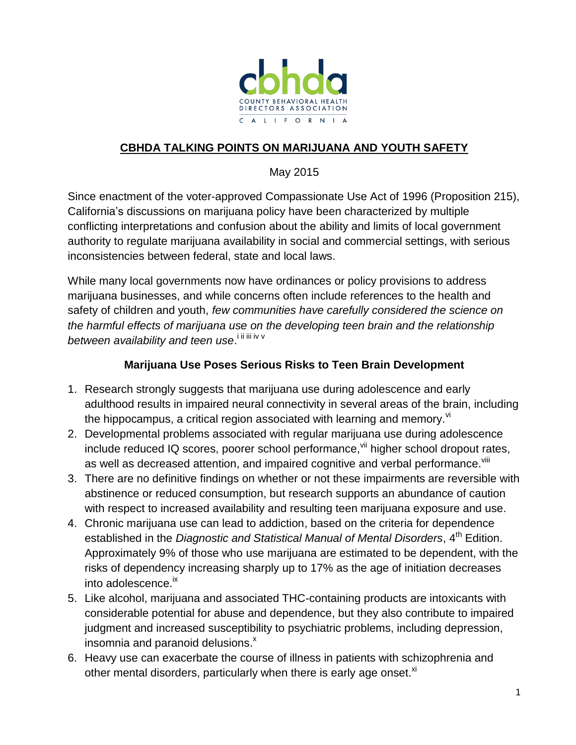

## **CBHDA TALKING POINTS ON MARIJUANA AND YOUTH SAFETY**

#### May 2015

Since enactment of the voter-approved Compassionate Use Act of 1996 (Proposition 215), California's discussions on marijuana policy have been characterized by multiple conflicting interpretations and confusion about the ability and limits of local government authority to regulate marijuana availability in social and commercial settings, with serious inconsistencies between federal, state and local laws.

While many local governments now have ordinances or policy provisions to address marijuana businesses, and while concerns often include references to the health and safety of children and youth, *few communities have carefully considered the science on the harmful effects of marijuana use on the developing teen brain and the relationship*  between availability and teen use.<sup>iiiiiiv v</sup>

#### **Marijuana Use Poses Serious Risks to Teen Brain Development**

- 1. Research strongly suggests that marijuana use during adolescence and early adulthood results in impaired neural connectivity in several areas of the brain, including the hippocampus, a critical region associated with learning and memory. $^{\text{vi}}$
- 2. Developmental problems associated with regular marijuana use during adolescence include reduced IQ scores, poorer school performance, vii higher school dropout rates, as well as decreased attention, and impaired cognitive and verbal performance.<sup>viii</sup>
- 3. There are no definitive findings on whether or not these impairments are reversible with abstinence or reduced consumption, but research supports an abundance of caution with respect to increased availability and resulting teen marijuana exposure and use.
- 4. Chronic marijuana use can lead to addiction, based on the criteria for dependence established in the *Diagnostic and Statistical Manual of Mental Disorders*, 4<sup>th</sup> Edition. Approximately 9% of those who use marijuana are estimated to be dependent, with the risks of dependency increasing sharply up to 17% as the age of initiation decreases into adolescence.<sup>ix</sup>
- 5. Like alcohol, marijuana and associated THC-containing products are intoxicants with considerable potential for abuse and dependence, but they also contribute to impaired judgment and increased susceptibility to psychiatric problems, including depression, insomnia and paranoid delusions. $^{\text{x}}$
- 6. Heavy use can exacerbate the course of illness in patients with schizophrenia and other mental disorders, particularly when there is early age onset.<sup>xi</sup>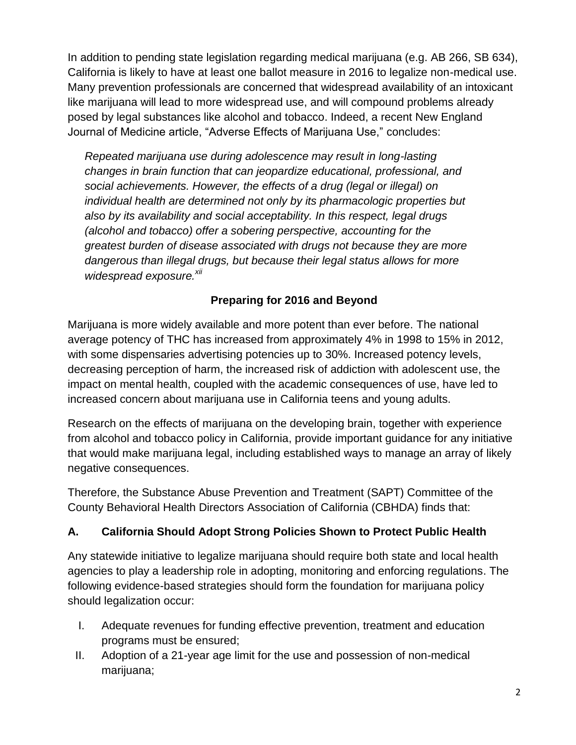In addition to pending state legislation regarding medical marijuana (e.g. AB 266, SB 634), California is likely to have at least one ballot measure in 2016 to legalize non-medical use. Many prevention professionals are concerned that widespread availability of an intoxicant like marijuana will lead to more widespread use, and will compound problems already posed by legal substances like alcohol and tobacco. Indeed, a recent New England Journal of Medicine article, "Adverse Effects of Marijuana Use," concludes:

*Repeated marijuana use during adolescence may result in long-lasting changes in brain function that can jeopardize educational, professional, and social achievements. However, the effects of a drug (legal or illegal) on individual health are determined not only by its pharmacologic properties but also by its availability and social acceptability. In this respect, legal drugs (alcohol and tobacco) offer a sobering perspective, accounting for the greatest burden of disease associated with drugs not because they are more dangerous than illegal drugs, but because their legal status allows for more widespread exposure.xii*

## **Preparing for 2016 and Beyond**

Marijuana is more widely available and more potent than ever before. The national average potency of THC has increased from approximately 4% in 1998 to 15% in 2012, with some dispensaries advertising potencies up to 30%. Increased potency levels, decreasing perception of harm, the increased risk of addiction with adolescent use, the impact on mental health, coupled with the academic consequences of use, have led to increased concern about marijuana use in California teens and young adults.

Research on the effects of marijuana on the developing brain, together with experience from alcohol and tobacco policy in California, provide important guidance for any initiative that would make marijuana legal, including established ways to manage an array of likely negative consequences.

Therefore, the Substance Abuse Prevention and Treatment (SAPT) Committee of the County Behavioral Health Directors Association of California (CBHDA) finds that:

## **A. California Should Adopt Strong Policies Shown to Protect Public Health**

Any statewide initiative to legalize marijuana should require both state and local health agencies to play a leadership role in adopting, monitoring and enforcing regulations. The following evidence-based strategies should form the foundation for marijuana policy should legalization occur:

- I. Adequate revenues for funding effective prevention, treatment and education programs must be ensured;
- II. Adoption of a 21-year age limit for the use and possession of non-medical marijuana;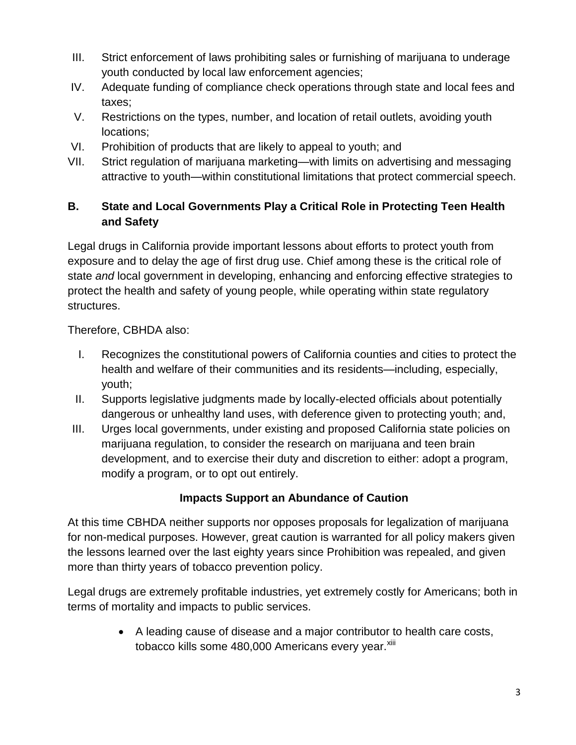- III. Strict enforcement of laws prohibiting sales or furnishing of marijuana to underage youth conducted by local law enforcement agencies;
- IV. Adequate funding of compliance check operations through state and local fees and taxes;
- V. Restrictions on the types, number, and location of retail outlets, avoiding youth locations;
- VI. Prohibition of products that are likely to appeal to youth; and
- VII. Strict regulation of marijuana marketing—with limits on advertising and messaging attractive to youth—within constitutional limitations that protect commercial speech.

# **B. State and Local Governments Play a Critical Role in Protecting Teen Health and Safety**

Legal drugs in California provide important lessons about efforts to protect youth from exposure and to delay the age of first drug use. Chief among these is the critical role of state *and* local government in developing, enhancing and enforcing effective strategies to protect the health and safety of young people, while operating within state regulatory structures.

Therefore, CBHDA also:

- I. Recognizes the constitutional powers of California counties and cities to protect the health and welfare of their communities and its residents—including, especially, youth;
- II. Supports legislative judgments made by locally-elected officials about potentially dangerous or unhealthy land uses, with deference given to protecting youth; and,
- III. Urges local governments, under existing and proposed California state policies on marijuana regulation, to consider the research on marijuana and teen brain development, and to exercise their duty and discretion to either: adopt a program, modify a program, or to opt out entirely.

## **Impacts Support an Abundance of Caution**

At this time CBHDA neither supports nor opposes proposals for legalization of marijuana for non-medical purposes. However, great caution is warranted for all policy makers given the lessons learned over the last eighty years since Prohibition was repealed, and given more than thirty years of tobacco prevention policy.

Legal drugs are extremely profitable industries, yet extremely costly for Americans; both in terms of mortality and impacts to public services.

> A leading cause of disease and a major contributor to health care costs, tobacco kills some 480,000 Americans every year.<sup>xiii</sup>